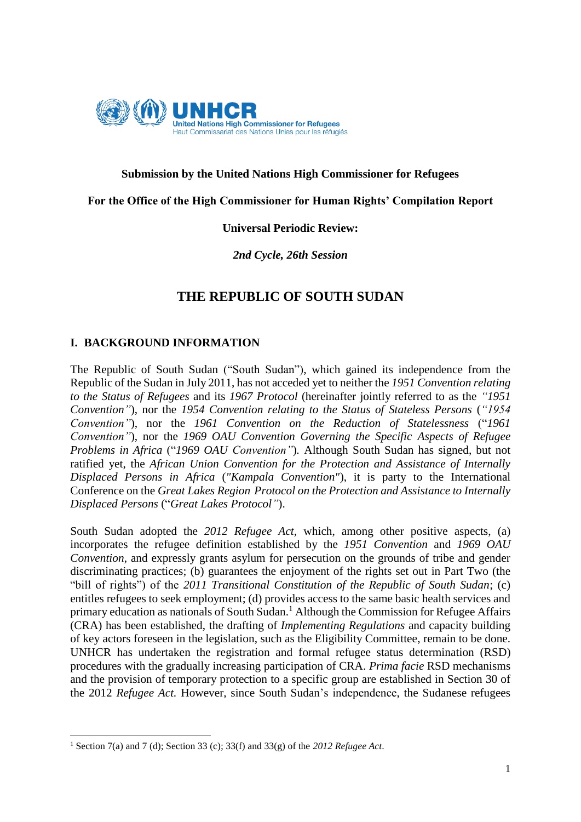

### **Submission by the United Nations High Commissioner for Refugees**

#### **For the Office of the High Commissioner for Human Rights' Compilation Report**

### **Universal Periodic Review:**

### *2nd Cycle, 26th Session*

# **THE REPUBLIC OF SOUTH SUDAN**

### **I. BACKGROUND INFORMATION**

The Republic of South Sudan ("South Sudan"), which gained its independence from the Republic of the Sudan in July 2011, has not acceded yet to neither the *1951 Convention relating to the Status of Refugees* and its *1967 Protocol* (hereinafter jointly referred to as the *"1951 Convention"*), nor the *1954 Convention relating to the Status of Stateless Persons* (*"1954 Convention"*), nor the *1961 Convention on the Reduction of Statelessness* ("*1961 Convention"*), nor the *1969 OAU Convention Governing the Specific Aspects of Refugee Problems in Africa* ("*1969 OAU Convention"*)*.* Although South Sudan has signed, but not ratified yet, the *African Union Convention for the Protection and Assistance of Internally Displaced Persons in Africa* (*"Kampala Convention"*), it is party to the International Conference on the *Great Lakes Region Protocol on the Protection and Assistance to Internally Displaced Persons* ("*Great Lakes Protocol"*).

South Sudan adopted the *2012 Refugee Act,* which, among other positive aspects, (a) incorporates the refugee definition established by the *1951 Convention* and *1969 OAU Convention*, and expressly grants asylum for persecution on the grounds of tribe and gender discriminating practices; (b) guarantees the enjoyment of the rights set out in Part Two (the "bill of rights") of the *2011 Transitional Constitution of the Republic of South Sudan*; (c) entitles refugees to seek employment; (d) provides access to the same basic health services and primary education as nationals of South Sudan.<sup>1</sup> Although the Commission for Refugee Affairs (CRA) has been established, the drafting of *Implementing Regulations* and capacity building of key actors foreseen in the legislation, such as the Eligibility Committee, remain to be done. UNHCR has undertaken the registration and formal refugee status determination (RSD) procedures with the gradually increasing participation of CRA. *Prima facie* RSD mechanisms and the provision of temporary protection to a specific group are established in Section 30 of the 2012 *Refugee Act.* However, since South Sudan's independence, the Sudanese refugees

**.** 

<sup>1</sup> Section 7(a) and 7 (d); Section 33 (c); 33(f) and 33(g) of the *2012 Refugee Act*.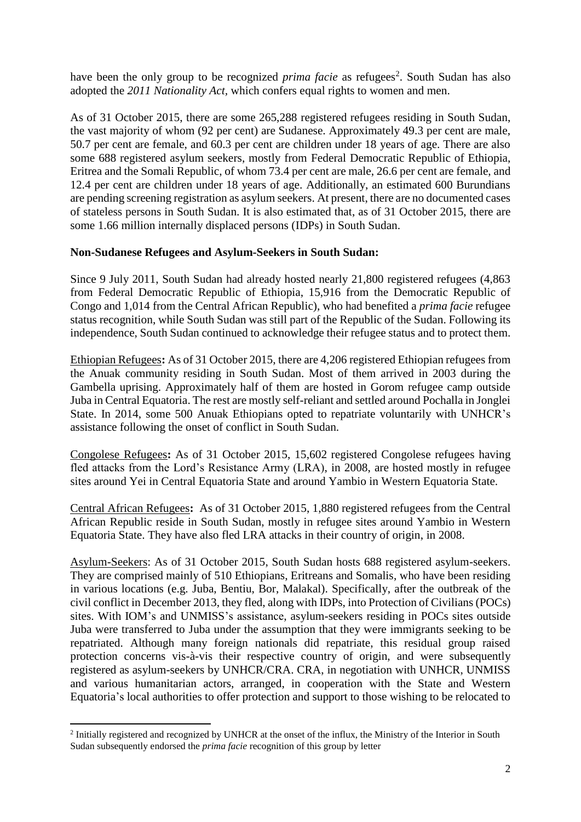have been the only group to be recognized *prima facie* as refugees<sup>2</sup>. South Sudan has also adopted the *2011 Nationality Act,* which confers equal rights to women and men.

As of 31 October 2015, there are some 265,288 registered refugees residing in South Sudan, the vast majority of whom (92 per cent) are Sudanese. Approximately 49.3 per cent are male, 50.7 per cent are female, and 60.3 per cent are children under 18 years of age. There are also some 688 registered asylum seekers, mostly from Federal Democratic Republic of Ethiopia, Eritrea and the Somali Republic, of whom 73.4 per cent are male, 26.6 per cent are female, and 12.4 per cent are children under 18 years of age. Additionally, an estimated 600 Burundians are pending screening registration as asylum seekers. At present, there are no documented cases of stateless persons in South Sudan. It is also estimated that, as of 31 October 2015, there are some 1.66 million internally displaced persons (IDPs) in South Sudan.

### **Non-Sudanese Refugees and Asylum-Seekers in South Sudan:**

Since 9 July 2011, South Sudan had already hosted nearly 21,800 registered refugees (4,863 from Federal Democratic Republic of Ethiopia, 15,916 from the Democratic Republic of Congo and 1,014 from the Central African Republic), who had benefited a *prima facie* refugee status recognition, while South Sudan was still part of the Republic of the Sudan. Following its independence, South Sudan continued to acknowledge their refugee status and to protect them.

Ethiopian Refugees**:** As of 31 October 2015, there are 4,206 registered Ethiopian refugees from the Anuak community residing in South Sudan. Most of them arrived in 2003 during the Gambella uprising. Approximately half of them are hosted in Gorom refugee camp outside Juba in Central Equatoria. The rest are mostly self-reliant and settled around Pochalla in Jonglei State. In 2014, some 500 Anuak Ethiopians opted to repatriate voluntarily with UNHCR's assistance following the onset of conflict in South Sudan.

Congolese Refugees**:** As of 31 October 2015, 15,602 registered Congolese refugees having fled attacks from the Lord's Resistance Army (LRA), in 2008, are hosted mostly in refugee sites around Yei in Central Equatoria State and around Yambio in Western Equatoria State.

Central African Refugees**:** As of 31 October 2015, 1,880 registered refugees from the Central African Republic reside in South Sudan, mostly in refugee sites around Yambio in Western Equatoria State. They have also fled LRA attacks in their country of origin, in 2008.

Asylum-Seekers: As of 31 October 2015, South Sudan hosts 688 registered asylum-seekers. They are comprised mainly of 510 Ethiopians, Eritreans and Somalis, who have been residing in various locations (e.g. Juba, Bentiu, Bor, Malakal). Specifically, after the outbreak of the civil conflict in December 2013, they fled, along with IDPs, into Protection of Civilians (POCs) sites. With IOM's and UNMISS's assistance, asylum-seekers residing in POCs sites outside Juba were transferred to Juba under the assumption that they were immigrants seeking to be repatriated. Although many foreign nationals did repatriate, this residual group raised protection concerns vis-à-vis their respective country of origin, and were subsequently registered as asylum-seekers by UNHCR/CRA. CRA, in negotiation with UNHCR, UNMISS and various humanitarian actors, arranged, in cooperation with the State and Western Equatoria's local authorities to offer protection and support to those wishing to be relocated to

**<sup>.</sup>** <sup>2</sup> Initially registered and recognized by UNHCR at the onset of the influx, the Ministry of the Interior in South Sudan subsequently endorsed the *prima facie* recognition of this group by letter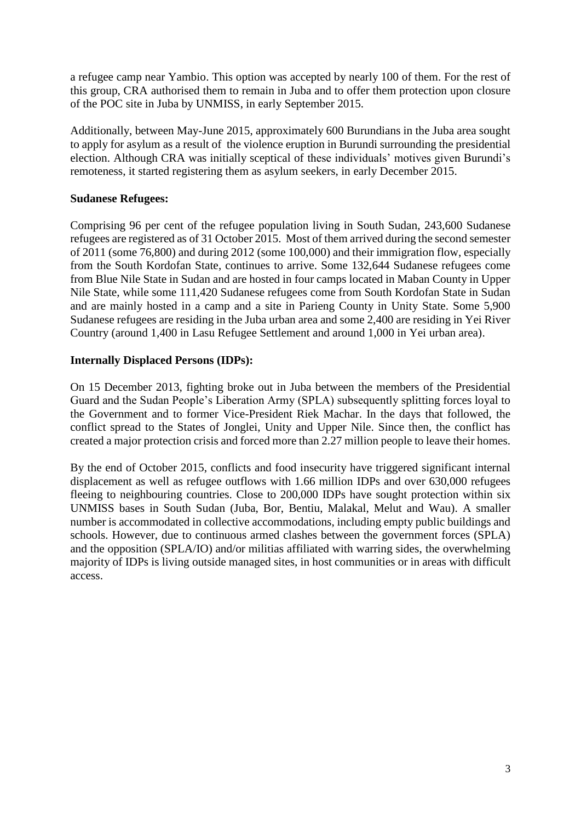a refugee camp near Yambio. This option was accepted by nearly 100 of them. For the rest of this group, CRA authorised them to remain in Juba and to offer them protection upon closure of the POC site in Juba by UNMISS, in early September 2015.

Additionally, between May-June 2015, approximately 600 Burundians in the Juba area sought to apply for asylum as a result of the violence eruption in Burundi surrounding the presidential election. Although CRA was initially sceptical of these individuals' motives given Burundi's remoteness, it started registering them as asylum seekers, in early December 2015.

## **Sudanese Refugees:**

Comprising 96 per cent of the refugee population living in South Sudan, 243,600 Sudanese refugees are registered as of 31 October 2015. Most of them arrived during the second semester of 2011 (some 76,800) and during 2012 (some 100,000) and their immigration flow, especially from the South Kordofan State, continues to arrive. Some 132,644 Sudanese refugees come from Blue Nile State in Sudan and are hosted in four camps located in Maban County in Upper Nile State, while some 111,420 Sudanese refugees come from South Kordofan State in Sudan and are mainly hosted in a camp and a site in Parieng County in Unity State. Some 5,900 Sudanese refugees are residing in the Juba urban area and some 2,400 are residing in Yei River Country (around 1,400 in Lasu Refugee Settlement and around 1,000 in Yei urban area).

## **Internally Displaced Persons (IDPs):**

On 15 December 2013, fighting broke out in Juba between the members of the Presidential Guard and the Sudan People's Liberation Army (SPLA) subsequently splitting forces loyal to the Government and to former Vice-President Riek Machar. In the days that followed, the conflict spread to the States of Jonglei, Unity and Upper Nile. Since then, the conflict has created a major protection crisis and forced more than 2.27 million people to leave their homes.

By the end of October 2015, conflicts and food insecurity have triggered significant internal displacement as well as refugee outflows with 1.66 million IDPs and over 630,000 refugees fleeing to neighbouring countries. Close to 200,000 IDPs have sought protection within six UNMISS bases in South Sudan (Juba, Bor, Bentiu, Malakal, Melut and Wau). A smaller number is accommodated in collective accommodations, including empty public buildings and schools. However, due to continuous armed clashes between the government forces (SPLA) and the opposition (SPLA/IO) and/or militias affiliated with warring sides, the overwhelming majority of IDPs is living outside managed sites, in host communities or in areas with difficult access.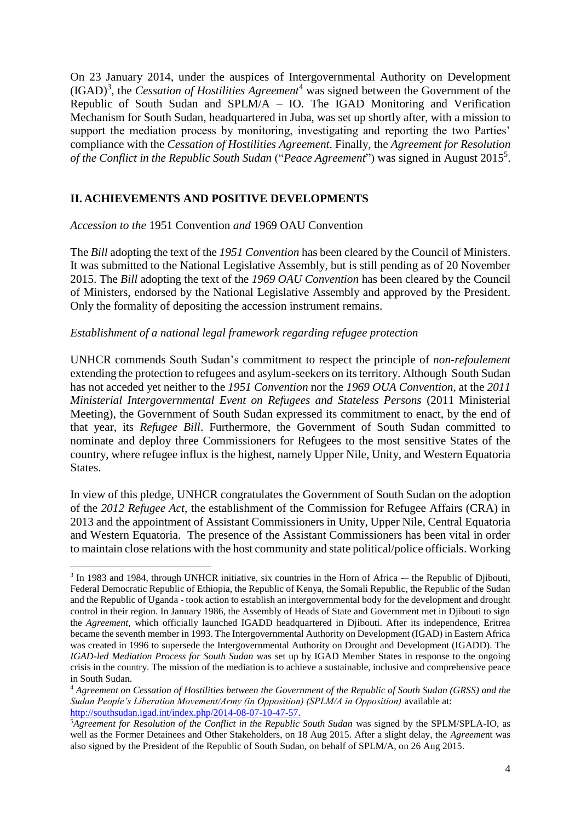On 23 January 2014, under the auspices of Intergovernmental Authority on Development (IGAD)<sup>3</sup> , the *Cessation of Hostilities Agreement*<sup>4</sup> was signed between the Government of the Republic of South Sudan and SPLM/A – IO. The IGAD Monitoring and Verification Mechanism for South Sudan, headquartered in Juba, was set up shortly after, with a mission to support the mediation process by monitoring, investigating and reporting the two Parties' compliance with the *Cessation of Hostilities Agreement*. Finally, the *Agreement for Resolution*  of the Conflict in the Republic South Sudan ("Peace Agreement") was signed in August 2015<sup>5</sup>.

# **II. ACHIEVEMENTS AND POSITIVE DEVELOPMENTS**

*Accession to the* 1951 Convention *and* 1969 OAU Convention

**.** 

The *Bill* adopting the text of the *1951 Convention* has been cleared by the Council of Ministers. It was submitted to the National Legislative Assembly, but is still pending as of 20 November 2015. The *Bill* adopting the text of the *1969 OAU Convention* has been cleared by the Council of Ministers, endorsed by the National Legislative Assembly and approved by the President. Only the formality of depositing the accession instrument remains.

#### *Establishment of a national legal framework regarding refugee protection*

UNHCR commends South Sudan's commitment to respect the principle of *non-refoulement* extending the protection to refugees and asylum-seekers on its territory. Although South Sudan has not acceded yet neither to the *1951 Convention* nor the *1969 OUA Convention*, at the *2011 Ministerial Intergovernmental Event on Refugees and Stateless Persons* (2011 Ministerial Meeting), the Government of South Sudan expressed its commitment to enact, by the end of that year, its *Refugee Bill*. Furthermore, the Government of South Sudan committed to nominate and deploy three Commissioners for Refugees to the most sensitive States of the country, where refugee influx is the highest, namely Upper Nile, Unity, and Western Equatoria States.

In view of this pledge, UNHCR congratulates the Government of South Sudan on the adoption of the *2012 Refugee Act*, the establishment of the Commission for Refugee Affairs (CRA) in 2013 and the appointment of Assistant Commissioners in Unity, Upper Nile, Central Equatoria and Western Equatoria. The presence of the Assistant Commissioners has been vital in order to maintain close relations with the host community and state political/police officials. Working

<sup>&</sup>lt;sup>3</sup> In 1983 and 1984, through UNHCR initiative, six countries in the Horn of Africa -- the Republic of Djibouti, Federal Democratic Republic of Ethiopia, the Republic of Kenya, the Somali Republic, the Republic of the Sudan and the Republic of Uganda - took action to establish an intergovernmental body for the development and drought control in their region. In January 1986, the Assembly of Heads of State and Government met in Djibouti to sign the *Agreement,* which officially launched IGADD headquartered in Djibouti. After its independence, Eritrea became the seventh member in 1993. The Intergovernmental Authority on Development (IGAD) in Eastern Africa was created in 1996 to supersede the Intergovernmental Authority on Drought and Development (IGADD). The *IGAD-led Mediation Process for South Sudan* was set up by IGAD Member States in response to the ongoing crisis in the country. The mission of the mediation is to achieve a sustainable, inclusive and comprehensive peace in South Sudan.

<sup>4</sup> *Agreement on Cessation of Hostilities between the Government of the Republic of South Sudan (GRSS) and the Sudan People's Liberation Movement/Army (in Opposition) (SPLM/A in Opposition)* available at: [http://southsudan.igad.int/index.php/2014-08-07-10-47-57.](http://southsudan.igad.int/index.php/2014-08-07-10-47-57)

<sup>5</sup>*Agreement for Resolution of the Conflict in the Republic South Sudan* was signed by the SPLM/SPLA-IO, as well as the Former Detainees and Other Stakeholders, on 18 Aug 2015. After a slight delay, the *Agreeme*nt was also signed by the President of the Republic of South Sudan, on behalf of SPLM/A, on 26 Aug 2015.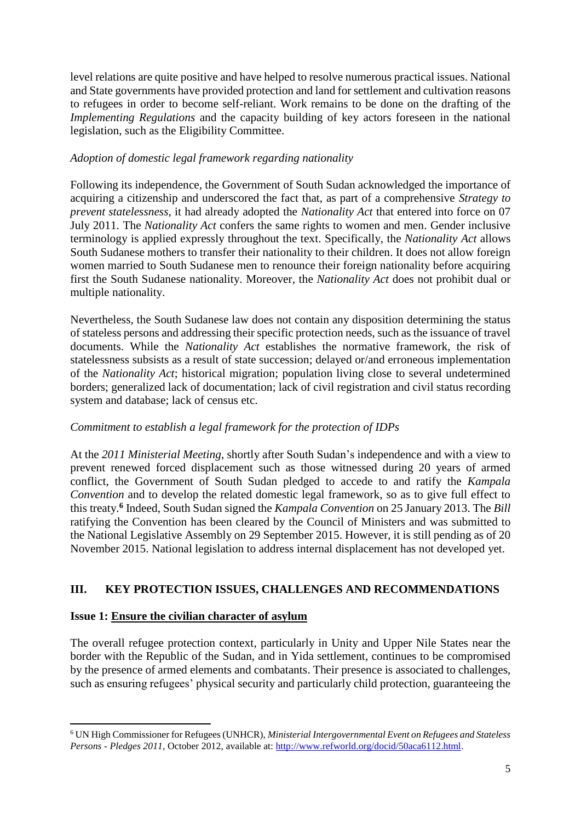level relations are quite positive and have helped to resolve numerous practical issues. National and State governments have provided protection and land for settlement and cultivation reasons to refugees in order to become self-reliant. Work remains to be done on the drafting of the *Implementing Regulations* and the capacity building of key actors foreseen in the national legislation, such as the Eligibility Committee.

# *Adoption of domestic legal framework regarding nationality*

Following its independence, the Government of South Sudan acknowledged the importance of acquiring a citizenship and underscored the fact that, as part of a comprehensive *Strategy to prevent statelessness*, it had already adopted the *Nationality Act* that entered into force on 07 July 2011. The *Nationality Act* confers the same rights to women and men. Gender inclusive terminology is applied expressly throughout the text. Specifically, the *Nationality Act* allows South Sudanese mothers to transfer their nationality to their children. It does not allow foreign women married to South Sudanese men to renounce their foreign nationality before acquiring first the South Sudanese nationality. Moreover, the *Nationality Act* does not prohibit dual or multiple nationality.

Nevertheless, the South Sudanese law does not contain any disposition determining the status of stateless persons and addressing their specific protection needs, such as the issuance of travel documents. While the *Nationality Act* establishes the normative framework, the risk of statelessness subsists as a result of state succession; delayed or/and erroneous implementation of the *Nationality Act*; historical migration; population living close to several undetermined borders; generalized lack of documentation; lack of civil registration and civil status recording system and database; lack of census etc.

# *Commitment to establish a legal framework for the protection of IDPs*

At the *2011 Ministerial Meeting*, shortly after South Sudan's independence and with a view to prevent renewed forced displacement such as those witnessed during 20 years of armed conflict, the Government of South Sudan pledged to accede to and ratify the *Kampala Convention* and to develop the related domestic legal framework, so as to give full effect to this treaty. **6** Indeed, South Sudan signed the *Kampala Convention* on 25 January 2013. The *Bill*  ratifying the Convention has been cleared by the Council of Ministers and was submitted to the National Legislative Assembly on 29 September 2015. However, it is still pending as of 20 November 2015. National legislation to address internal displacement has not developed yet.

# **III. KEY PROTECTION ISSUES, CHALLENGES AND RECOMMENDATIONS**

## **Issue 1: Ensure the civilian character of asylum**

The overall refugee protection context, particularly in Unity and Upper Nile States near the border with the Republic of the Sudan, and in Yida settlement, continues to be compromised by the presence of armed elements and combatants. Their presence is associated to challenges, such as ensuring refugees' physical security and particularly child protection, guaranteeing the

**<sup>.</sup>** <sup>6</sup> UN High Commissioner for Refugees (UNHCR), *Ministerial Intergovernmental Event on Refugees and Stateless Persons - Pledges 2011*, October 2012, available at[: http://www.refworld.org/docid/50aca6112.html.](http://www.refworld.org/docid/50aca6112.html)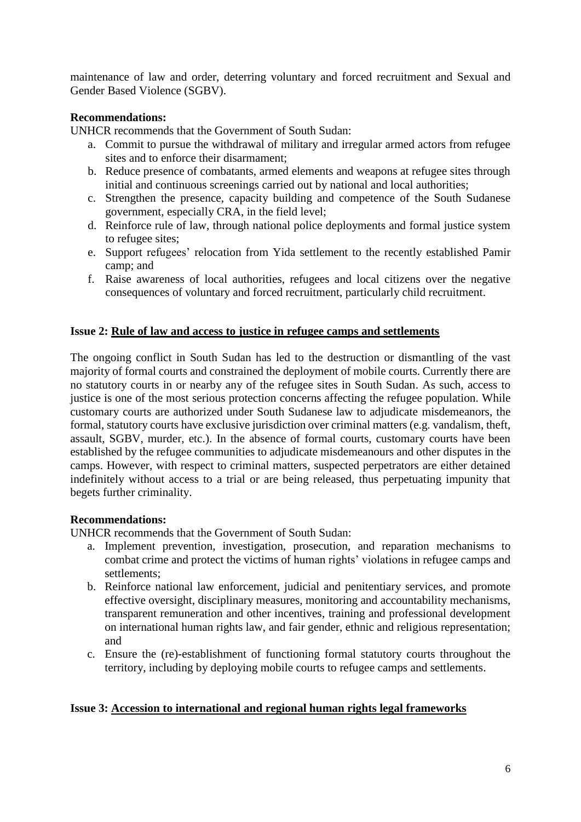maintenance of law and order, deterring voluntary and forced recruitment and Sexual and Gender Based Violence (SGBV).

## **Recommendations:**

UNHCR recommends that the Government of South Sudan:

- a. Commit to pursue the withdrawal of military and irregular armed actors from refugee sites and to enforce their disarmament;
- b. Reduce presence of combatants, armed elements and weapons at refugee sites through initial and continuous screenings carried out by national and local authorities;
- c. Strengthen the presence, capacity building and competence of the South Sudanese government, especially CRA, in the field level;
- d. Reinforce rule of law, through national police deployments and formal justice system to refugee sites;
- e. Support refugees' relocation from Yida settlement to the recently established Pamir camp; and
- f. Raise awareness of local authorities, refugees and local citizens over the negative consequences of voluntary and forced recruitment, particularly child recruitment.

### **Issue 2: Rule of law and access to justice in refugee camps and settlements**

The ongoing conflict in South Sudan has led to the destruction or dismantling of the vast majority of formal courts and constrained the deployment of mobile courts. Currently there are no statutory courts in or nearby any of the refugee sites in South Sudan. As such, access to justice is one of the most serious protection concerns affecting the refugee population. While customary courts are authorized under South Sudanese law to adjudicate misdemeanors, the formal, statutory courts have exclusive jurisdiction over criminal matters (e.g. vandalism, theft, assault, SGBV, murder, etc.). In the absence of formal courts, customary courts have been established by the refugee communities to adjudicate misdemeanours and other disputes in the camps. However, with respect to criminal matters, suspected perpetrators are either detained indefinitely without access to a trial or are being released, thus perpetuating impunity that begets further criminality.

#### **Recommendations:**

UNHCR recommends that the Government of South Sudan:

- a. Implement prevention, investigation, prosecution, and reparation mechanisms to combat crime and protect the victims of human rights' violations in refugee camps and settlements<sup>\*</sup>
- b. Reinforce national law enforcement, judicial and penitentiary services, and promote effective oversight, disciplinary measures, monitoring and accountability mechanisms, transparent remuneration and other incentives, training and professional development on international human rights law, and fair gender, ethnic and religious representation; and
- c. Ensure the (re)-establishment of functioning formal statutory courts throughout the territory, including by deploying mobile courts to refugee camps and settlements.

#### **Issue 3: Accession to international and regional human rights legal frameworks**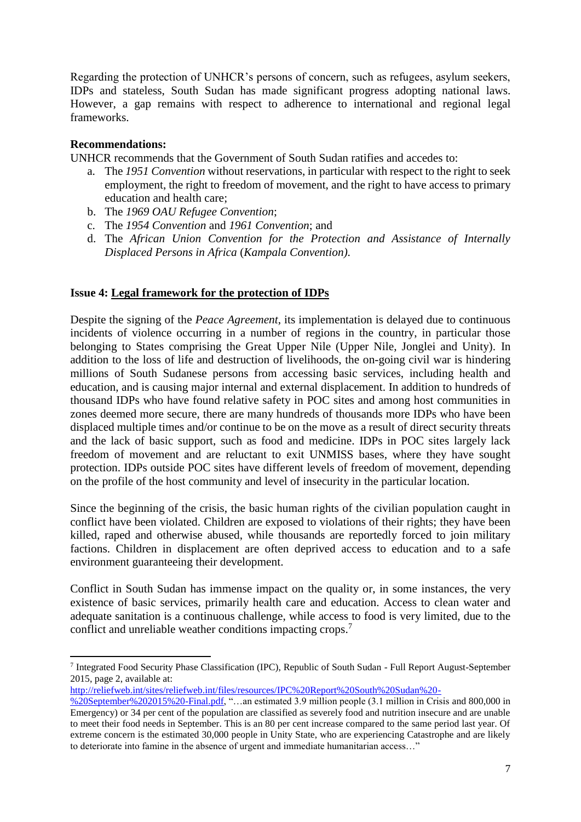Regarding the protection of UNHCR's persons of concern, such as refugees, asylum seekers, IDPs and stateless, South Sudan has made significant progress adopting national laws. However, a gap remains with respect to adherence to international and regional legal frameworks.

### **Recommendations:**

UNHCR recommends that the Government of South Sudan ratifies and accedes to:

- a. The *1951 Convention* without reservations, in particular with respect to the right to seek employment, the right to freedom of movement, and the right to have access to primary education and health care;
- b. The *1969 OAU Refugee Convention*;
- c. The *1954 Convention* and *1961 Convention*; and
- d. The *African Union Convention for the Protection and Assistance of Internally Displaced Persons in Africa* (*Kampala Convention)*.

#### **Issue 4: Legal framework for the protection of IDPs**

Despite the signing of the *Peace Agreement*, its implementation is delayed due to continuous incidents of violence occurring in a number of regions in the country, in particular those belonging to States comprising the Great Upper Nile (Upper Nile, Jonglei and Unity). In addition to the loss of life and destruction of livelihoods, the on-going civil war is hindering millions of South Sudanese persons from accessing basic services, including health and education, and is causing major internal and external displacement. In addition to hundreds of thousand IDPs who have found relative safety in POC sites and among host communities in zones deemed more secure, there are many hundreds of thousands more IDPs who have been displaced multiple times and/or continue to be on the move as a result of direct security threats and the lack of basic support, such as food and medicine. IDPs in POC sites largely lack freedom of movement and are reluctant to exit UNMISS bases, where they have sought protection. IDPs outside POC sites have different levels of freedom of movement, depending on the profile of the host community and level of insecurity in the particular location.

Since the beginning of the crisis, the basic human rights of the civilian population caught in conflict have been violated. Children are exposed to violations of their rights; they have been killed, raped and otherwise abused, while thousands are reportedly forced to join military factions. Children in displacement are often deprived access to education and to a safe environment guaranteeing their development.

Conflict in South Sudan has immense impact on the quality or, in some instances, the very existence of basic services, primarily health care and education. Access to clean water and adequate sanitation is a continuous challenge, while access to food is very limited, due to the conflict and unreliable weather conditions impacting crops. 7

[http://reliefweb.int/sites/reliefweb.int/files/resources/IPC%20Report%20South%20Sudan%20-](http://reliefweb.int/sites/reliefweb.int/files/resources/IPC%20Report%20South%20Sudan%20-%20September%202015%20-Final.pdf)

**<sup>.</sup>** 7 Integrated Food Security Phase Classification (IPC), Republic of South Sudan - Full Report August-September 2015, page 2, available at:

[<sup>%20</sup>September%202015%20-Final.pdf,](http://reliefweb.int/sites/reliefweb.int/files/resources/IPC%20Report%20South%20Sudan%20-%20September%202015%20-Final.pdf) "…an estimated 3.9 million people (3.1 million in Crisis and 800,000 in Emergency) or 34 per cent of the population are classified as severely food and nutrition insecure and are unable to meet their food needs in September. This is an 80 per cent increase compared to the same period last year. Of extreme concern is the estimated 30,000 people in Unity State, who are experiencing Catastrophe and are likely to deteriorate into famine in the absence of urgent and immediate humanitarian access…"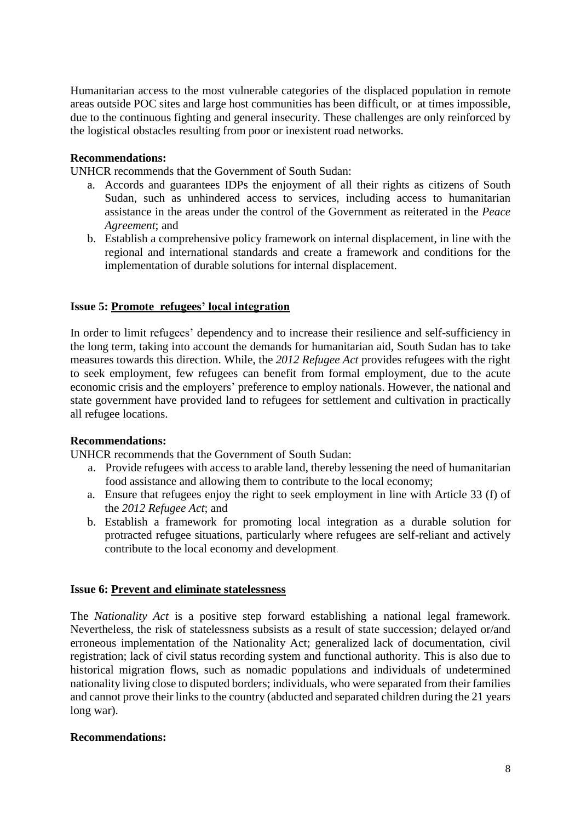Humanitarian access to the most vulnerable categories of the displaced population in remote areas outside POC sites and large host communities has been difficult, or at times impossible, due to the continuous fighting and general insecurity. These challenges are only reinforced by the logistical obstacles resulting from poor or inexistent road networks.

### **Recommendations:**

UNHCR recommends that the Government of South Sudan:

- a. Accords and guarantees IDPs the enjoyment of all their rights as citizens of South Sudan, such as unhindered access to services, including access to humanitarian assistance in the areas under the control of the Government as reiterated in the *Peace Agreement*; and
- b. Establish a comprehensive policy framework on internal displacement, in line with the regional and international standards and create a framework and conditions for the implementation of durable solutions for internal displacement.

## **Issue 5: Promote refugees' local integration**

In order to limit refugees' dependency and to increase their resilience and self-sufficiency in the long term, taking into account the demands for humanitarian aid, South Sudan has to take measures towards this direction. While, the *2012 Refugee Act* provides refugees with the right to seek employment, few refugees can benefit from formal employment, due to the acute economic crisis and the employers' preference to employ nationals. However, the national and state government have provided land to refugees for settlement and cultivation in practically all refugee locations.

#### **Recommendations:**

UNHCR recommends that the Government of South Sudan:

- a. Provide refugees with access to arable land, thereby lessening the need of humanitarian food assistance and allowing them to contribute to the local economy;
- a. Ensure that refugees enjoy the right to seek employment in line with Article 33 (f) of the *2012 Refugee Act*; and
- b. Establish a framework for promoting local integration as a durable solution for protracted refugee situations, particularly where refugees are self-reliant and actively contribute to the local economy and development.

#### **Issue 6: Prevent and eliminate statelessness**

The *Nationality Act* is a positive step forward establishing a national legal framework. Nevertheless, the risk of statelessness subsists as a result of state succession; delayed or/and erroneous implementation of the Nationality Act; generalized lack of documentation, civil registration; lack of civil status recording system and functional authority. This is also due to historical migration flows, such as nomadic populations and individuals of undetermined nationality living close to disputed borders; individuals, who were separated from their families and cannot prove their links to the country (abducted and separated children during the 21 years long war).

#### **Recommendations:**